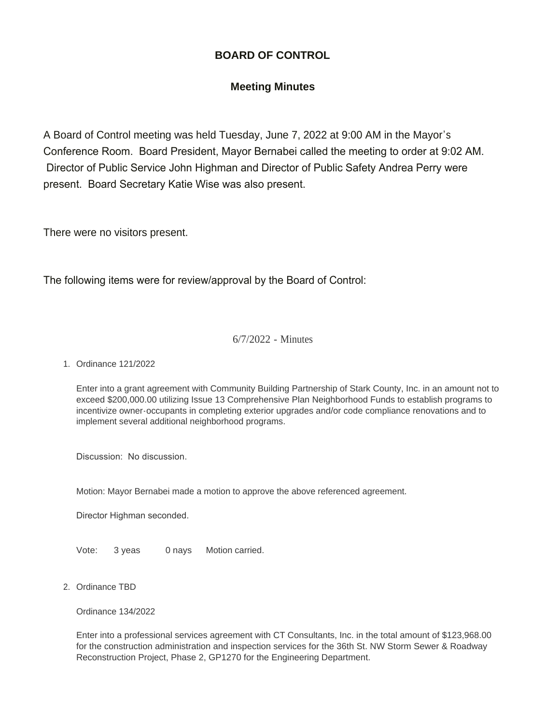# **BOARD OF CONTROL**

# **Meeting Minutes**

A Board of Control meeting was held Tuesday, June 7, 2022 at 9:00 AM in the Mayor's Conference Room. Board President, Mayor Bernabei called the meeting to order at 9:02 AM. Director of Public Service John Highman and Director of Public Safety Andrea Perry were present. Board Secretary Katie Wise was also present.

There were no visitors present.

The following items were for review/approval by the Board of Control:

### 6/7/2022 - Minutes

#### Ordinance 121/2022 1.

Enter into a grant agreement with Community Building Partnership of Stark County, Inc. in an amount not to exceed \$200,000.00 utilizing Issue 13 Comprehensive Plan Neighborhood Funds to establish programs to incentivize owner-occupants in completing exterior upgrades and/or code compliance renovations and to implement several additional neighborhood programs.

Discussion: No discussion.

Motion: Mayor Bernabei made a motion to approve the above referenced agreement.

Director Highman seconded.

Vote: 3 yeas 0 nays Motion carried.

2. Ordinance TBD

Ordinance 134/2022

Enter into a professional services agreement with CT Consultants, Inc. in the total amount of \$123,968.00 for the construction administration and inspection services for the 36th St. NW Storm Sewer & Roadway Reconstruction Project, Phase 2, GP1270 for the Engineering Department.